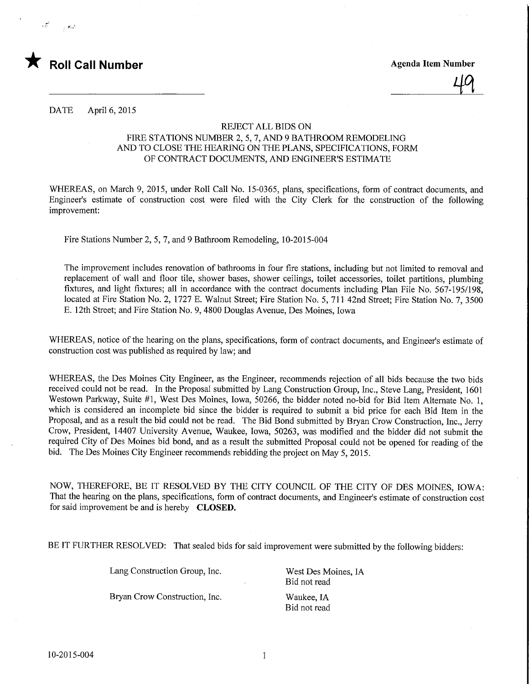

 $\sim 10^{-3}$ 

49

DATE April 6, 2015

## REJECT ALL BIDS ON FIRE STATIONS NUMBER 2, 5, 7, AND 9 BATHROOM REMODELING AND TO CLOSE THE HEARING ON THE PLANS, SPECIFICATIONS, FORM OF CONTRACT DOCUMENTS, AND ENGINEER'S ESTIMATE

WHEREAS, on March 9, 2015, under Roll Call No. 15-0365, plans, specifications, form of contract documents, and Engineer's estimate of construction cost were filed with the City Clerk for the construction of the following improvement:

Fire Stations Number 2, 5, 7, and 9 Bathroom Remodeling, 10-2015-004

The improvement includes renovation of bathrooms in four fire stations, including but not limited to removal and replacement of wall and floor tile, shower bases, shower ceilings, toilet accessories, toilet partitions, plumbing fixtures, and light fixtures; all in accordance with the contract documents including Plan File No. 567-195/198, located at Fire Station No. 2, 1727 E. Walnut Street; Fire Station No. 5, 711 42nd Street; Fire Station No. 7,3500 E. 12th Street; and Fire Station No. 9, 4800 Douglas Avenue, Des Moines, Iowa

WHEREAS, notice of the hearing on the plans, specifications, form of contract documents, and Engineer's estimate of construction cost was published as required by law; and

WHEREAS, the Des Moines City Engineer, as the Engineer, recommends rejection of all bids because the two bids received could not be read. In the Proposal submitted by Lang Construction Group, Inc., Steve Lang, President, 1601 Westown Parkway, Suite #1, West Des Moines, Iowa, 50266, the bidder noted no-bid for Bid Item Alternate No. 1, which is considered an incomplete bid since the bidder is required to submit a bid price for each Bid Item in the Proposal, and as a result the bid could not be read. The Bid Bond submitted by Bryan Crow Construction, Inc., Jerry Crow, President, 14407 University Avenue, Waukee, Iowa, 50263, was modified and the bidder did not submit the required City of Des Moines bid bond, and as a result the submitted Proposal could not be opened for reading of the bid. The Des Moines City Engineer recommends rebidding the project on May 5, 2015.

NOW, THEREFORE, BE IT RESOLVED BY THE CITY COUNCIL OF THE CITY OF DES MOINES, IOWA: That the hearing on the plans, specifications, form of contract documents, and Engineer's estimate of construction cost for said improvement be and is hereby CLOSED.

BE IT FURTHER RESOLVED: That sealed bids for said improvement were submitted by the following bidders:

Lang Construction Group, Inc. West Des Moines, IA

Bryan Crow Construction, Inc. Waukee, IA

Bid not read

Bid not read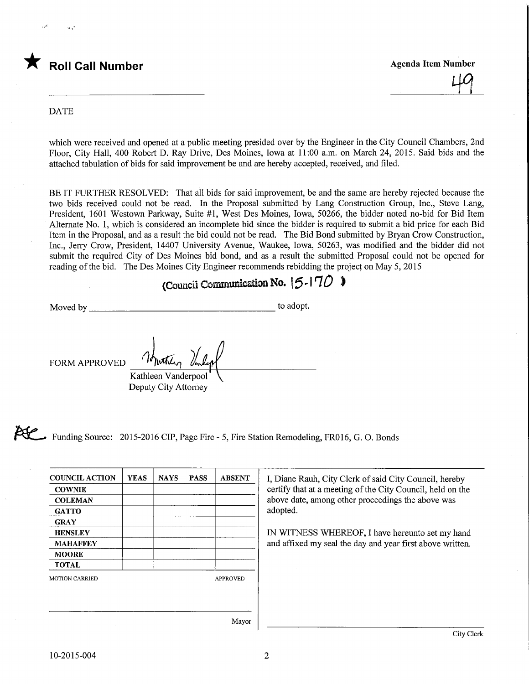

City Clerk

## DATE

which were received and opened at a public meeting presided over by the Engineer in the City Council Chambers, 2nd Floor, City Hall, 400 Robert D. Ray Drive, Des Moines, Iowa at 11:00 a.m. on March 24, 2015. Said bids and the attached tabulation of bids for said improvement be and are hereby accepted, received, and filed.

BE IT FURTHER RESOLVED: That all bids for said improvement, be and the same are hereby rejected because the two bids received could not be read. In the Proposal submitted by Lang Construction Group, Inc., Steve Lang, President, 1601 Westown Parkway, Suite #1, West Des Moines, Iowa, 50266, the bidder noted no-bid for Bid Item Alternate No. 1, which is considered an incomplete bid since the bidder is required to submit a bid price for each Bid Item in the Proposal, and as a result the bid could not be read. The Bid Bond submitted by Bryan Crow Construction, Inc., Jerry Crow, President, 14407 University Avenue, Waukee, Iowa, 50263, was modified and the bidder did not submit the required City of Des Moines bid bond, and as a result the submitted Proposal could not be opened for reading of the bid. The Des Moines City Engineer recommends rebidding the project on May 5, 2015

## (Council Communication No.  $|5-170$ )

Moved by to adopt.

FORM APPROVED

Kathleen Vanderpool Deputy City Attorney

Funding Source: 2015-2016 CIP, Page Fire - 5, Fire Station Remodeling, FR016, G. O. Bonds

| <b>COUNCIL ACTION</b> | <b>YEAS</b> | <b>NAYS</b> | <b>PASS</b> | <b>ABSENT</b>   | I, Diane Rauh, City Clerk of said City Council, hereby     |
|-----------------------|-------------|-------------|-------------|-----------------|------------------------------------------------------------|
| <b>COWNIE</b>         |             |             |             |                 | certify that at a meeting of the City Council, held on the |
| <b>COLEMAN</b>        |             |             |             |                 | above date, among other proceedings the above was          |
| <b>GATTO</b>          |             |             |             |                 | adopted.                                                   |
| <b>GRAY</b>           |             |             |             |                 |                                                            |
| <b>HENSLEY</b>        |             |             |             |                 | IN WITNESS WHEREOF, I have hereunto set my hand            |
| <b>MAHAFFEY</b>       |             |             |             |                 | and affixed my seal the day and year first above written.  |
| <b>MOORE</b>          |             |             |             |                 |                                                            |
| <b>TOTAL</b>          |             |             |             |                 |                                                            |
| <b>MOTION CARRIED</b> |             |             |             | <b>APPROVED</b> |                                                            |
|                       |             |             |             |                 |                                                            |
|                       |             |             |             |                 |                                                            |
|                       |             |             |             |                 |                                                            |
|                       |             |             |             | Mayor           |                                                            |